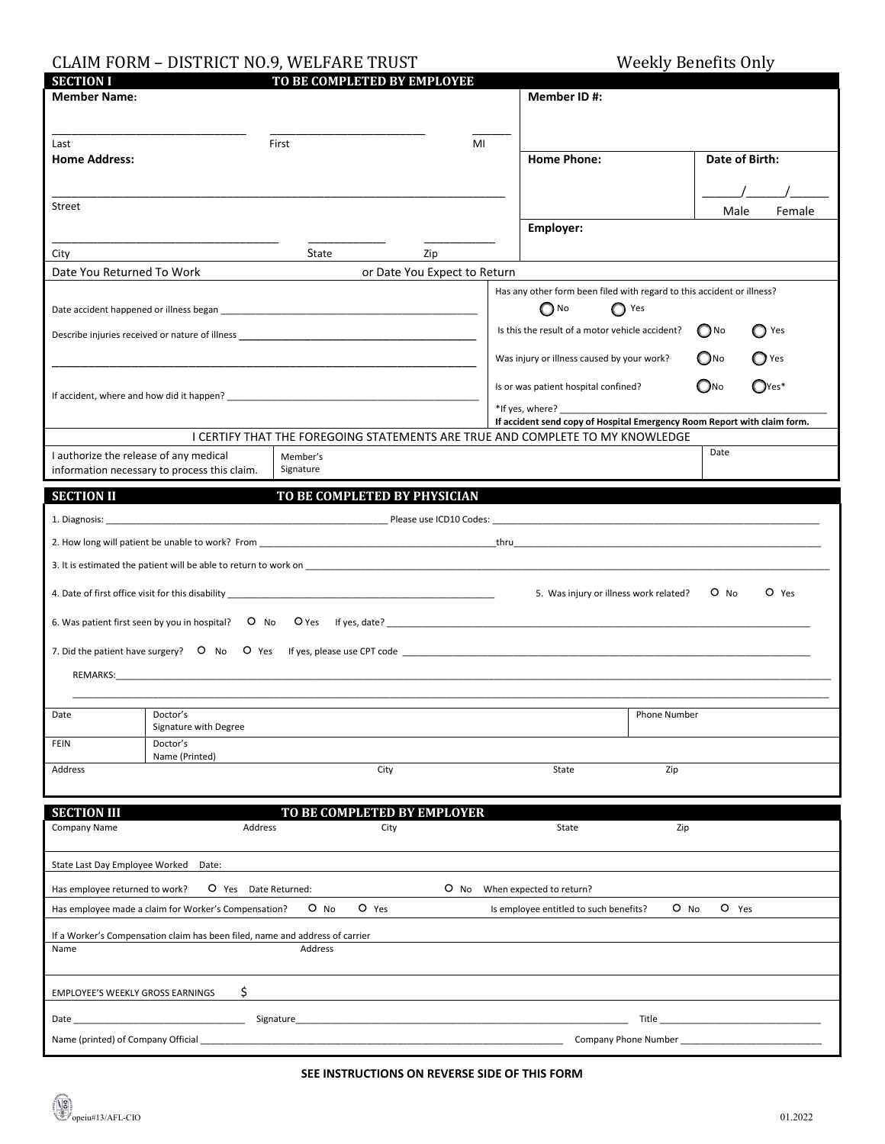# CLAIM FORM - DISTRICT NO.9, WELFARE TRUST WEEKLY Benefits Only

| <b>SECTION I</b>                                                                                                                                                                                  |                                                                              | TO BE COMPLETED BY EMPLOYEE                                                                                                                                                                                                    |                                                                         |                                                                                             |                                                                                    |        |        |  |
|---------------------------------------------------------------------------------------------------------------------------------------------------------------------------------------------------|------------------------------------------------------------------------------|--------------------------------------------------------------------------------------------------------------------------------------------------------------------------------------------------------------------------------|-------------------------------------------------------------------------|---------------------------------------------------------------------------------------------|------------------------------------------------------------------------------------|--------|--------|--|
| <b>Member Name:</b>                                                                                                                                                                               |                                                                              |                                                                                                                                                                                                                                |                                                                         | Member ID#:                                                                                 |                                                                                    |        |        |  |
|                                                                                                                                                                                                   |                                                                              |                                                                                                                                                                                                                                |                                                                         |                                                                                             |                                                                                    |        |        |  |
| Last                                                                                                                                                                                              |                                                                              | First                                                                                                                                                                                                                          | MI                                                                      |                                                                                             |                                                                                    |        |        |  |
| <b>Home Address:</b>                                                                                                                                                                              |                                                                              |                                                                                                                                                                                                                                |                                                                         | <b>Home Phone:</b>                                                                          | Date of Birth:                                                                     |        |        |  |
|                                                                                                                                                                                                   |                                                                              |                                                                                                                                                                                                                                |                                                                         |                                                                                             |                                                                                    |        |        |  |
|                                                                                                                                                                                                   |                                                                              |                                                                                                                                                                                                                                |                                                                         |                                                                                             |                                                                                    |        |        |  |
| Street                                                                                                                                                                                            |                                                                              |                                                                                                                                                                                                                                |                                                                         |                                                                                             |                                                                                    | Male   | Female |  |
|                                                                                                                                                                                                   |                                                                              |                                                                                                                                                                                                                                |                                                                         | Employer:                                                                                   |                                                                                    |        |        |  |
| City                                                                                                                                                                                              |                                                                              | State                                                                                                                                                                                                                          | Zip                                                                     |                                                                                             |                                                                                    |        |        |  |
| Date You Returned To Work<br>or Date You Expect to Return                                                                                                                                         |                                                                              |                                                                                                                                                                                                                                |                                                                         |                                                                                             |                                                                                    |        |        |  |
|                                                                                                                                                                                                   |                                                                              |                                                                                                                                                                                                                                | Has any other form been filed with regard to this accident or illness?  |                                                                                             |                                                                                    |        |        |  |
|                                                                                                                                                                                                   |                                                                              |                                                                                                                                                                                                                                |                                                                         | $O$ No<br>$\bigcirc$ Yes                                                                    |                                                                                    |        |        |  |
|                                                                                                                                                                                                   |                                                                              |                                                                                                                                                                                                                                |                                                                         |                                                                                             | Is this the result of a motor vehicle accident?<br>$\bigcirc$ No<br>$\bigcirc$ Yes |        |        |  |
|                                                                                                                                                                                                   |                                                                              |                                                                                                                                                                                                                                |                                                                         | Was injury or illness caused by your work?                                                  |                                                                                    | ( )No  | ◯ Yes  |  |
|                                                                                                                                                                                                   |                                                                              |                                                                                                                                                                                                                                |                                                                         |                                                                                             |                                                                                    |        |        |  |
|                                                                                                                                                                                                   |                                                                              |                                                                                                                                                                                                                                | Is or was patient hospital confined?<br>$\mathbb{O}$ Yes*<br><b>ONO</b> |                                                                                             |                                                                                    |        |        |  |
|                                                                                                                                                                                                   |                                                                              |                                                                                                                                                                                                                                |                                                                         | *If yes, where?<br>If accident send copy of Hospital Emergency Room Report with claim form. |                                                                                    |        |        |  |
|                                                                                                                                                                                                   |                                                                              | I CERTIFY THAT THE FOREGOING STATEMENTS ARE TRUE AND COMPLETE TO MY KNOWLEDGE                                                                                                                                                  |                                                                         |                                                                                             |                                                                                    |        |        |  |
| I authorize the release of any medical                                                                                                                                                            |                                                                              | Member's                                                                                                                                                                                                                       |                                                                         |                                                                                             |                                                                                    | Date   |        |  |
|                                                                                                                                                                                                   | information necessary to process this claim.                                 | Signature                                                                                                                                                                                                                      |                                                                         |                                                                                             |                                                                                    |        |        |  |
| <b>SECTION II</b>                                                                                                                                                                                 |                                                                              | TO BE COMPLETED BY PHYSICIAN                                                                                                                                                                                                   |                                                                         |                                                                                             |                                                                                    |        |        |  |
|                                                                                                                                                                                                   |                                                                              |                                                                                                                                                                                                                                |                                                                         |                                                                                             |                                                                                    |        |        |  |
|                                                                                                                                                                                                   |                                                                              |                                                                                                                                                                                                                                |                                                                         |                                                                                             |                                                                                    |        |        |  |
|                                                                                                                                                                                                   |                                                                              |                                                                                                                                                                                                                                |                                                                         |                                                                                             |                                                                                    |        |        |  |
|                                                                                                                                                                                                   |                                                                              | 3. It is estimated the patient will be able to return to work on entity and the substitution of the state of the state of the state of the state of the state of the state of the state of the state of the state of the state |                                                                         |                                                                                             |                                                                                    |        |        |  |
|                                                                                                                                                                                                   |                                                                              |                                                                                                                                                                                                                                |                                                                         |                                                                                             |                                                                                    | $O$ No | O Yes  |  |
| 5. Was injury or illness work related?                                                                                                                                                            |                                                                              |                                                                                                                                                                                                                                |                                                                         |                                                                                             |                                                                                    |        |        |  |
|                                                                                                                                                                                                   |                                                                              |                                                                                                                                                                                                                                |                                                                         |                                                                                             |                                                                                    |        |        |  |
|                                                                                                                                                                                                   |                                                                              |                                                                                                                                                                                                                                |                                                                         |                                                                                             |                                                                                    |        |        |  |
|                                                                                                                                                                                                   |                                                                              |                                                                                                                                                                                                                                |                                                                         |                                                                                             |                                                                                    |        |        |  |
|                                                                                                                                                                                                   |                                                                              |                                                                                                                                                                                                                                |                                                                         |                                                                                             |                                                                                    |        |        |  |
|                                                                                                                                                                                                   |                                                                              |                                                                                                                                                                                                                                |                                                                         |                                                                                             |                                                                                    |        |        |  |
| Date                                                                                                                                                                                              | Doctor's<br>Signature with Degree                                            |                                                                                                                                                                                                                                |                                                                         |                                                                                             | <b>Phone Number</b>                                                                |        |        |  |
| <b>FEIN</b>                                                                                                                                                                                       | Doctor's                                                                     |                                                                                                                                                                                                                                |                                                                         |                                                                                             |                                                                                    |        |        |  |
| Address                                                                                                                                                                                           | Name (Printed)                                                               | City                                                                                                                                                                                                                           |                                                                         | State                                                                                       | Zip                                                                                |        |        |  |
|                                                                                                                                                                                                   |                                                                              |                                                                                                                                                                                                                                |                                                                         |                                                                                             |                                                                                    |        |        |  |
|                                                                                                                                                                                                   |                                                                              |                                                                                                                                                                                                                                |                                                                         |                                                                                             |                                                                                    |        |        |  |
| <b>SECTION III</b><br>Company Name                                                                                                                                                                | Address                                                                      | TO BE COMPLETED BY EMPLOYER<br>City                                                                                                                                                                                            |                                                                         | State                                                                                       | Zip                                                                                |        |        |  |
|                                                                                                                                                                                                   |                                                                              |                                                                                                                                                                                                                                |                                                                         |                                                                                             |                                                                                    |        |        |  |
| State Last Day Employee Worked Date:                                                                                                                                                              |                                                                              |                                                                                                                                                                                                                                |                                                                         |                                                                                             |                                                                                    |        |        |  |
| Has emplovee returned to work?                                                                                                                                                                    |                                                                              |                                                                                                                                                                                                                                |                                                                         |                                                                                             |                                                                                    |        |        |  |
| O Yes Date Returned:<br>O No When expected to return?<br>$O$ Yes<br>$O$ Yes<br>$O$ No<br>Has employee made a claim for Worker's Compensation?<br>$O$ No<br>Is employee entitled to such benefits? |                                                                              |                                                                                                                                                                                                                                |                                                                         |                                                                                             |                                                                                    |        |        |  |
|                                                                                                                                                                                                   |                                                                              |                                                                                                                                                                                                                                |                                                                         |                                                                                             |                                                                                    |        |        |  |
| Name                                                                                                                                                                                              | If a Worker's Compensation claim has been filed, name and address of carrier | Address                                                                                                                                                                                                                        |                                                                         |                                                                                             |                                                                                    |        |        |  |
|                                                                                                                                                                                                   |                                                                              |                                                                                                                                                                                                                                |                                                                         |                                                                                             |                                                                                    |        |        |  |
|                                                                                                                                                                                                   |                                                                              |                                                                                                                                                                                                                                |                                                                         |                                                                                             |                                                                                    |        |        |  |
| \$<br>EMPLOYEE'S WEEKLY GROSS EARNINGS                                                                                                                                                            |                                                                              |                                                                                                                                                                                                                                |                                                                         |                                                                                             |                                                                                    |        |        |  |
| Date                                                                                                                                                                                              |                                                                              |                                                                                                                                                                                                                                |                                                                         |                                                                                             |                                                                                    |        |        |  |
| Company Phone Number <b>Example 20</b>                                                                                                                                                            |                                                                              |                                                                                                                                                                                                                                |                                                                         |                                                                                             |                                                                                    |        |        |  |
|                                                                                                                                                                                                   |                                                                              |                                                                                                                                                                                                                                |                                                                         |                                                                                             |                                                                                    |        |        |  |